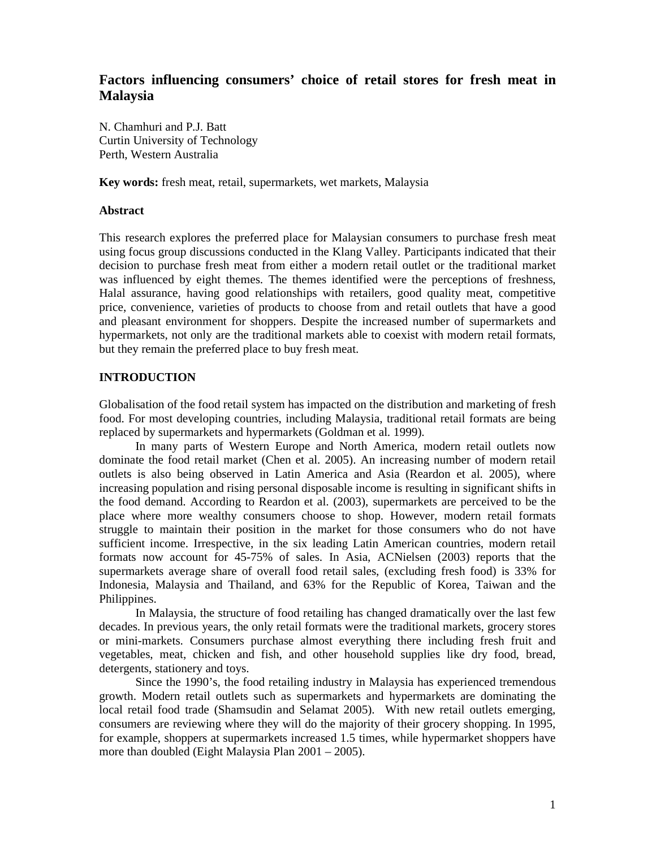# **Factors influencing consumers' choice of retail stores for fresh meat in Malaysia**

N. Chamhuri and P.J. Batt Curtin University of Technology Perth, Western Australia

**Key words:** fresh meat, retail, supermarkets, wet markets, Malaysia

## **Abstract**

This research explores the preferred place for Malaysian consumers to purchase fresh meat using focus group discussions conducted in the Klang Valley. Participants indicated that their decision to purchase fresh meat from either a modern retail outlet or the traditional market was influenced by eight themes. The themes identified were the perceptions of freshness, Halal assurance, having good relationships with retailers, good quality meat, competitive price, convenience, varieties of products to choose from and retail outlets that have a good and pleasant environment for shoppers. Despite the increased number of supermarkets and hypermarkets, not only are the traditional markets able to coexist with modern retail formats, but they remain the preferred place to buy fresh meat.

# **INTRODUCTION**

Globalisation of the food retail system has impacted on the distribution and marketing of fresh food. For most developing countries, including Malaysia, traditional retail formats are being replaced by supermarkets and hypermarkets (Goldman et al. 1999).

 In many parts of Western Europe and North America, modern retail outlets now dominate the food retail market (Chen et al. 2005). An increasing number of modern retail outlets is also being observed in Latin America and Asia (Reardon et al. 2005), where increasing population and rising personal disposable income is resulting in significant shifts in the food demand. According to Reardon et al. (2003), supermarkets are perceived to be the place where more wealthy consumers choose to shop. However, modern retail formats struggle to maintain their position in the market for those consumers who do not have sufficient income. Irrespective, in the six leading Latin American countries, modern retail formats now account for 45-75% of sales. In Asia, ACNielsen (2003) reports that the supermarkets average share of overall food retail sales, (excluding fresh food) is 33% for Indonesia, Malaysia and Thailand, and 63% for the Republic of Korea, Taiwan and the Philippines.

 In Malaysia, the structure of food retailing has changed dramatically over the last few decades. In previous years, the only retail formats were the traditional markets, grocery stores or mini-markets. Consumers purchase almost everything there including fresh fruit and vegetables, meat, chicken and fish, and other household supplies like dry food, bread, detergents, stationery and toys.

Since the 1990's, the food retailing industry in Malaysia has experienced tremendous growth. Modern retail outlets such as supermarkets and hypermarkets are dominating the local retail food trade (Shamsudin and Selamat 2005). With new retail outlets emerging, consumers are reviewing where they will do the majority of their grocery shopping. In 1995, for example, shoppers at supermarkets increased 1.5 times, while hypermarket shoppers have more than doubled (Eight Malaysia Plan 2001 – 2005).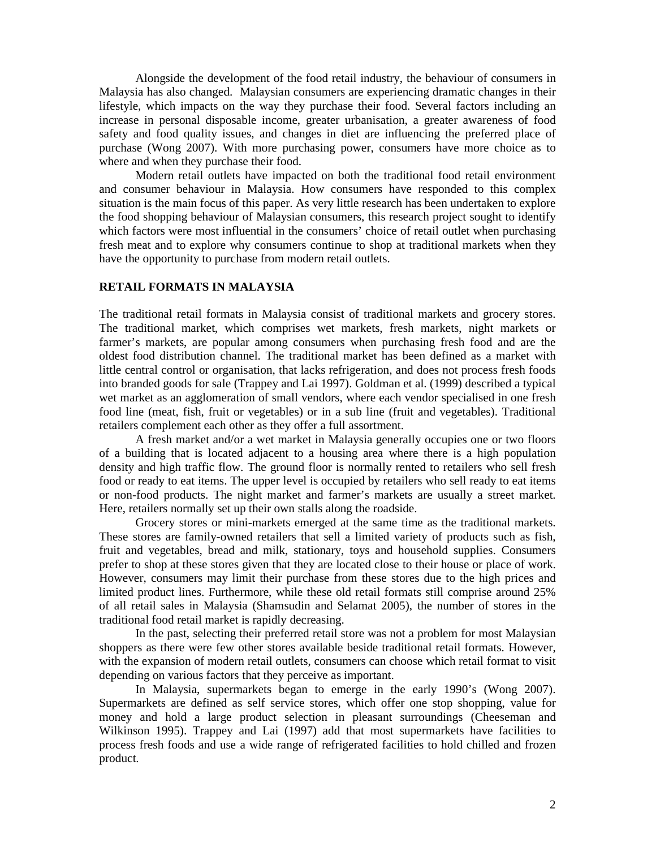Alongside the development of the food retail industry, the behaviour of consumers in Malaysia has also changed. Malaysian consumers are experiencing dramatic changes in their lifestyle, which impacts on the way they purchase their food. Several factors including an increase in personal disposable income, greater urbanisation, a greater awareness of food safety and food quality issues, and changes in diet are influencing the preferred place of purchase (Wong 2007). With more purchasing power, consumers have more choice as to where and when they purchase their food.

 Modern retail outlets have impacted on both the traditional food retail environment and consumer behaviour in Malaysia. How consumers have responded to this complex situation is the main focus of this paper. As very little research has been undertaken to explore the food shopping behaviour of Malaysian consumers, this research project sought to identify which factors were most influential in the consumers' choice of retail outlet when purchasing fresh meat and to explore why consumers continue to shop at traditional markets when they have the opportunity to purchase from modern retail outlets.

## **RETAIL FORMATS IN MALAYSIA**

The traditional retail formats in Malaysia consist of traditional markets and grocery stores. The traditional market, which comprises wet markets, fresh markets, night markets or farmer's markets, are popular among consumers when purchasing fresh food and are the oldest food distribution channel. The traditional market has been defined as a market with little central control or organisation, that lacks refrigeration, and does not process fresh foods into branded goods for sale (Trappey and Lai 1997). Goldman et al. (1999) described a typical wet market as an agglomeration of small vendors, where each vendor specialised in one fresh food line (meat, fish, fruit or vegetables) or in a sub line (fruit and vegetables). Traditional retailers complement each other as they offer a full assortment.

A fresh market and/or a wet market in Malaysia generally occupies one or two floors of a building that is located adjacent to a housing area where there is a high population density and high traffic flow. The ground floor is normally rented to retailers who sell fresh food or ready to eat items. The upper level is occupied by retailers who sell ready to eat items or non-food products. The night market and farmer's markets are usually a street market. Here, retailers normally set up their own stalls along the roadside.

Grocery stores or mini-markets emerged at the same time as the traditional markets. These stores are family-owned retailers that sell a limited variety of products such as fish, fruit and vegetables, bread and milk, stationary, toys and household supplies. Consumers prefer to shop at these stores given that they are located close to their house or place of work. However, consumers may limit their purchase from these stores due to the high prices and limited product lines. Furthermore, while these old retail formats still comprise around 25% of all retail sales in Malaysia (Shamsudin and Selamat 2005), the number of stores in the traditional food retail market is rapidly decreasing.

In the past, selecting their preferred retail store was not a problem for most Malaysian shoppers as there were few other stores available beside traditional retail formats. However, with the expansion of modern retail outlets, consumers can choose which retail format to visit depending on various factors that they perceive as important.

In Malaysia, supermarkets began to emerge in the early 1990's (Wong 2007). Supermarkets are defined as self service stores, which offer one stop shopping, value for money and hold a large product selection in pleasant surroundings (Cheeseman and Wilkinson 1995). Trappey and Lai (1997) add that most supermarkets have facilities to process fresh foods and use a wide range of refrigerated facilities to hold chilled and frozen product.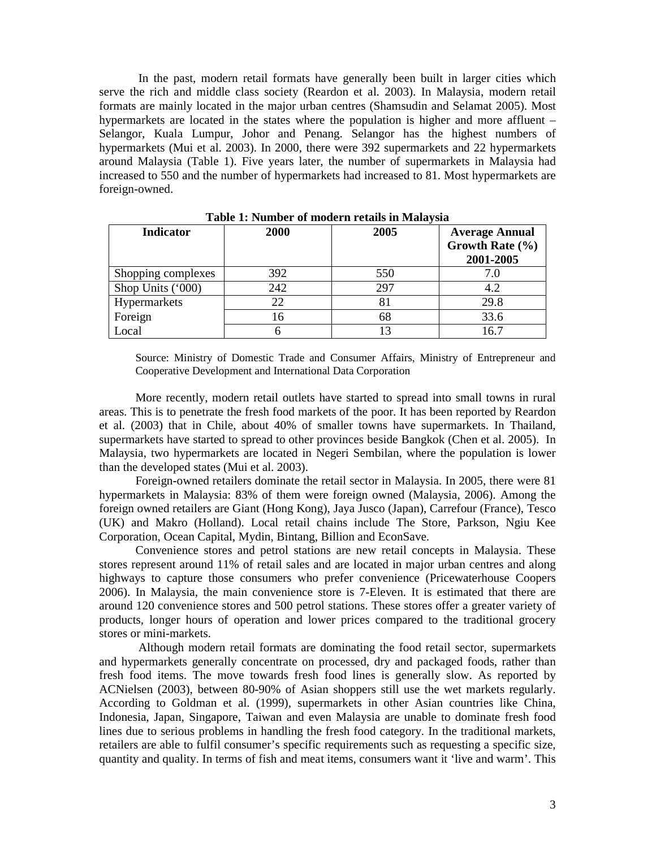In the past, modern retail formats have generally been built in larger cities which serve the rich and middle class society (Reardon et al. 2003). In Malaysia, modern retail formats are mainly located in the major urban centres (Shamsudin and Selamat 2005). Most hypermarkets are located in the states where the population is higher and more affluent – Selangor, Kuala Lumpur, Johor and Penang. Selangor has the highest numbers of hypermarkets (Mui et al. 2003). In 2000, there were 392 supermarkets and 22 hypermarkets around Malaysia (Table 1). Five years later, the number of supermarkets in Malaysia had increased to 550 and the number of hypermarkets had increased to 81. Most hypermarkets are foreign-owned.

| <b>Indicator</b>   | 2000 | 2005 | <b>Average Annual</b><br>Growth Rate $(\% )$<br>2001-2005 |
|--------------------|------|------|-----------------------------------------------------------|
| Shopping complexes | 392  | 550  | 7.0                                                       |
| Shop Units ('000)  | 242  | 297  | 4.2                                                       |
| Hypermarkets       | 22   |      | 29.8                                                      |
| Foreign            |      | 68   | 33.6                                                      |
| Local              |      |      | 16.7                                                      |

**Table 1: Number of modern retails in Malaysia** 

Source: Ministry of Domestic Trade and Consumer Affairs, Ministry of Entrepreneur and Cooperative Development and International Data Corporation

More recently, modern retail outlets have started to spread into small towns in rural areas. This is to penetrate the fresh food markets of the poor. It has been reported by Reardon et al. (2003) that in Chile, about 40% of smaller towns have supermarkets. In Thailand, supermarkets have started to spread to other provinces beside Bangkok (Chen et al. 2005). In Malaysia, two hypermarkets are located in Negeri Sembilan, where the population is lower than the developed states (Mui et al. 2003).

Foreign-owned retailers dominate the retail sector in Malaysia. In 2005, there were 81 hypermarkets in Malaysia: 83% of them were foreign owned (Malaysia, 2006). Among the foreign owned retailers are Giant (Hong Kong), Jaya Jusco (Japan), Carrefour (France), Tesco (UK) and Makro (Holland). Local retail chains include The Store, Parkson, Ngiu Kee Corporation, Ocean Capital, Mydin, Bintang, Billion and EconSave.

Convenience stores and petrol stations are new retail concepts in Malaysia. These stores represent around 11% of retail sales and are located in major urban centres and along highways to capture those consumers who prefer convenience (Pricewaterhouse Coopers 2006). In Malaysia, the main convenience store is 7-Eleven. It is estimated that there are around 120 convenience stores and 500 petrol stations. These stores offer a greater variety of products, longer hours of operation and lower prices compared to the traditional grocery stores or mini-markets.

 Although modern retail formats are dominating the food retail sector, supermarkets and hypermarkets generally concentrate on processed, dry and packaged foods, rather than fresh food items. The move towards fresh food lines is generally slow. As reported by ACNielsen (2003), between 80-90% of Asian shoppers still use the wet markets regularly. According to Goldman et al. (1999), supermarkets in other Asian countries like China, Indonesia, Japan, Singapore, Taiwan and even Malaysia are unable to dominate fresh food lines due to serious problems in handling the fresh food category. In the traditional markets, retailers are able to fulfil consumer's specific requirements such as requesting a specific size, quantity and quality. In terms of fish and meat items, consumers want it 'live and warm'. This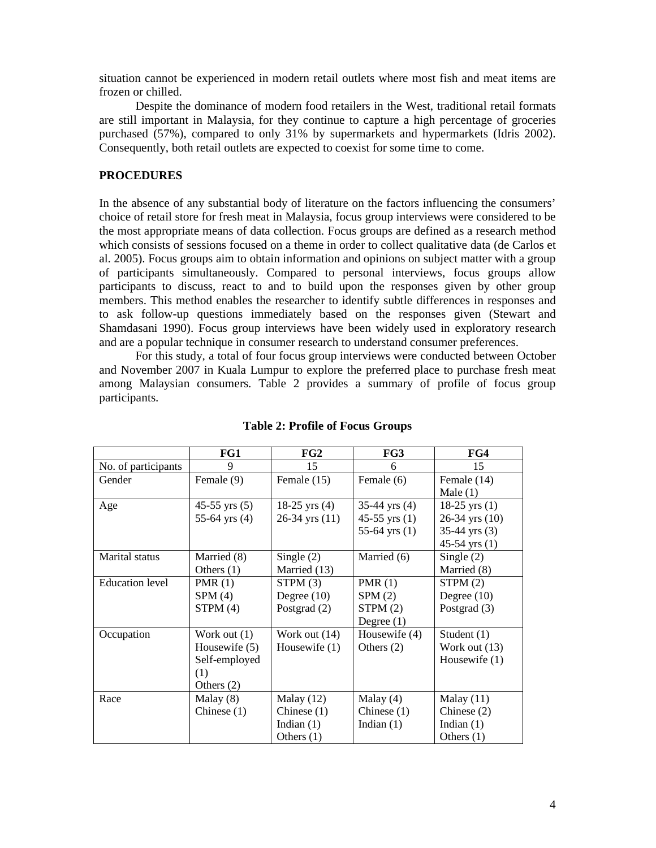situation cannot be experienced in modern retail outlets where most fish and meat items are frozen or chilled.

Despite the dominance of modern food retailers in the West, traditional retail formats are still important in Malaysia, for they continue to capture a high percentage of groceries purchased (57%), compared to only 31% by supermarkets and hypermarkets (Idris 2002). Consequently, both retail outlets are expected to coexist for some time to come.

## **PROCEDURES**

In the absence of any substantial body of literature on the factors influencing the consumers' choice of retail store for fresh meat in Malaysia, focus group interviews were considered to be the most appropriate means of data collection. Focus groups are defined as a research method which consists of sessions focused on a theme in order to collect qualitative data (de Carlos et al. 2005). Focus groups aim to obtain information and opinions on subject matter with a group of participants simultaneously. Compared to personal interviews, focus groups allow participants to discuss, react to and to build upon the responses given by other group members. This method enables the researcher to identify subtle differences in responses and to ask follow-up questions immediately based on the responses given (Stewart and Shamdasani 1990). Focus group interviews have been widely used in exploratory research and are a popular technique in consumer research to understand consumer preferences.

For this study, a total of four focus group interviews were conducted between October and November 2007 in Kuala Lumpur to explore the preferred place to purchase fresh meat among Malaysian consumers. Table 2 provides a summary of profile of focus group participants.

|                        | FG1             | FG2                | FG3               | FG4                |
|------------------------|-----------------|--------------------|-------------------|--------------------|
| No. of participants    | 9               | 15                 | 6                 | 15                 |
| Gender                 | Female (9)      | Female (15)        | Female (6)        | Female (14)        |
|                        |                 |                    |                   | Male $(1)$         |
| Age                    | 45-55 yrs $(5)$ | $18-25$ yrs $(4)$  | $35-44$ yrs $(4)$ | $18-25$ yrs $(1)$  |
|                        | 55-64 yrs $(4)$ | $26-34$ yrs $(11)$ | 45-55 yrs $(1)$   | $26-34$ yrs $(10)$ |
|                        |                 |                    | 55-64 yrs $(1)$   | 35-44 yrs $(3)$    |
|                        |                 |                    |                   | 45-54 yrs $(1)$    |
| Marital status         | Married (8)     | Single $(2)$       | Married (6)       | Single $(2)$       |
|                        | Others $(1)$    | Married (13)       |                   | Married (8)        |
| <b>Education</b> level | PMR(1)          | STPM(3)            | PMR(1)            | STPM(2)            |
|                        | SPM(4)          | Degree $(10)$      | SPM(2)            | Degree $(10)$      |
|                        | STPM(4)         | Postgrad $(2)$     | STPM(2)           | Postgrad $(3)$     |
|                        |                 |                    | Degree $(1)$      |                    |
| Occupation             | Work out $(1)$  | Work out $(14)$    | Housewife $(4)$   | Student (1)        |
|                        | Housewife $(5)$ | Housewife $(1)$    | Others $(2)$      | Work out $(13)$    |
|                        | Self-employed   |                    |                   | Housewife $(1)$    |
|                        | (1)             |                    |                   |                    |
|                        | Others $(2)$    |                    |                   |                    |
| Race                   | Malay $(8)$     | Malay $(12)$       | Malay $(4)$       | Malay $(11)$       |
|                        | Chinese $(1)$   | Chinese $(1)$      | Chinese $(1)$     | Chinese $(2)$      |
|                        |                 | Indian $(1)$       | Indian $(1)$      | Indian $(1)$       |
|                        |                 | Others $(1)$       |                   | Others $(1)$       |

**Table 2: Profile of Focus Groups**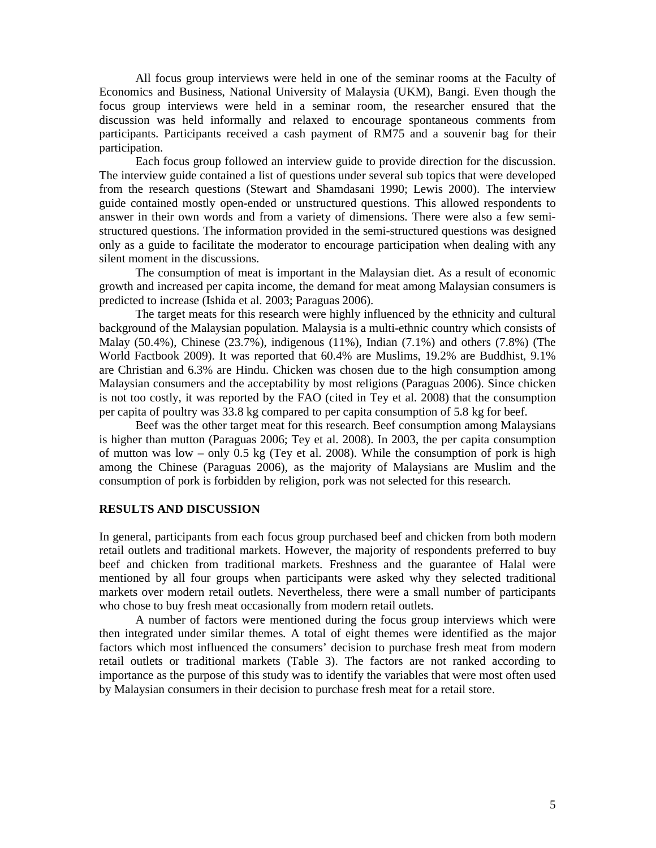All focus group interviews were held in one of the seminar rooms at the Faculty of Economics and Business, National University of Malaysia (UKM), Bangi. Even though the focus group interviews were held in a seminar room, the researcher ensured that the discussion was held informally and relaxed to encourage spontaneous comments from participants. Participants received a cash payment of RM75 and a souvenir bag for their participation.

Each focus group followed an interview guide to provide direction for the discussion. The interview guide contained a list of questions under several sub topics that were developed from the research questions (Stewart and Shamdasani 1990; Lewis 2000). The interview guide contained mostly open-ended or unstructured questions. This allowed respondents to answer in their own words and from a variety of dimensions. There were also a few semistructured questions. The information provided in the semi-structured questions was designed only as a guide to facilitate the moderator to encourage participation when dealing with any silent moment in the discussions.

The consumption of meat is important in the Malaysian diet. As a result of economic growth and increased per capita income, the demand for meat among Malaysian consumers is predicted to increase (Ishida et al. 2003; Paraguas 2006).

The target meats for this research were highly influenced by the ethnicity and cultural background of the Malaysian population. Malaysia is a multi-ethnic country which consists of Malay (50.4%), Chinese (23.7%), indigenous (11%), Indian (7.1%) and others (7.8%) (The World Factbook 2009). It was reported that 60.4% are Muslims, 19.2% are Buddhist, 9.1% are Christian and 6.3% are Hindu. Chicken was chosen due to the high consumption among Malaysian consumers and the acceptability by most religions (Paraguas 2006). Since chicken is not too costly, it was reported by the FAO (cited in Tey et al. 2008) that the consumption per capita of poultry was 33.8 kg compared to per capita consumption of 5.8 kg for beef.

 Beef was the other target meat for this research. Beef consumption among Malaysians is higher than mutton (Paraguas 2006; Tey et al. 2008). In 2003, the per capita consumption of mutton was low – only 0.5 kg (Tey et al. 2008). While the consumption of pork is high among the Chinese (Paraguas 2006), as the majority of Malaysians are Muslim and the consumption of pork is forbidden by religion, pork was not selected for this research.

### **RESULTS AND DISCUSSION**

In general, participants from each focus group purchased beef and chicken from both modern retail outlets and traditional markets. However, the majority of respondents preferred to buy beef and chicken from traditional markets. Freshness and the guarantee of Halal were mentioned by all four groups when participants were asked why they selected traditional markets over modern retail outlets. Nevertheless, there were a small number of participants who chose to buy fresh meat occasionally from modern retail outlets.

A number of factors were mentioned during the focus group interviews which were then integrated under similar themes. A total of eight themes were identified as the major factors which most influenced the consumers' decision to purchase fresh meat from modern retail outlets or traditional markets (Table 3). The factors are not ranked according to importance as the purpose of this study was to identify the variables that were most often used by Malaysian consumers in their decision to purchase fresh meat for a retail store.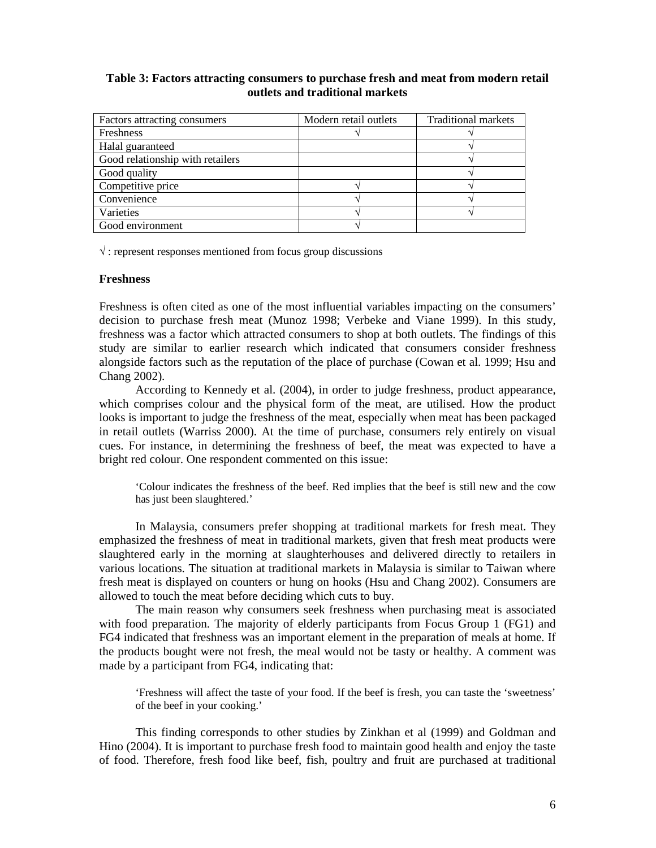## **Table 3: Factors attracting consumers to purchase fresh and meat from modern retail outlets and traditional markets**

| Factors attracting consumers     | Modern retail outlets | <b>Traditional markets</b> |
|----------------------------------|-----------------------|----------------------------|
| <b>Freshness</b>                 |                       |                            |
| Halal guaranteed                 |                       |                            |
| Good relationship with retailers |                       |                            |
| Good quality                     |                       |                            |
| Competitive price                |                       |                            |
| Convenience                      |                       |                            |
| Varieties                        |                       |                            |
| Good environment                 |                       |                            |

 $\sqrt{\cdot}$ : represent responses mentioned from focus group discussions

## **Freshness**

Freshness is often cited as one of the most influential variables impacting on the consumers' decision to purchase fresh meat (Munoz 1998; Verbeke and Viane 1999). In this study, freshness was a factor which attracted consumers to shop at both outlets. The findings of this study are similar to earlier research which indicated that consumers consider freshness alongside factors such as the reputation of the place of purchase (Cowan et al. 1999; Hsu and Chang 2002).

According to Kennedy et al. (2004), in order to judge freshness, product appearance, which comprises colour and the physical form of the meat, are utilised. How the product looks is important to judge the freshness of the meat, especially when meat has been packaged in retail outlets (Warriss 2000). At the time of purchase, consumers rely entirely on visual cues. For instance, in determining the freshness of beef, the meat was expected to have a bright red colour. One respondent commented on this issue:

'Colour indicates the freshness of the beef. Red implies that the beef is still new and the cow has just been slaughtered.'

 In Malaysia, consumers prefer shopping at traditional markets for fresh meat. They emphasized the freshness of meat in traditional markets, given that fresh meat products were slaughtered early in the morning at slaughterhouses and delivered directly to retailers in various locations. The situation at traditional markets in Malaysia is similar to Taiwan where fresh meat is displayed on counters or hung on hooks (Hsu and Chang 2002). Consumers are allowed to touch the meat before deciding which cuts to buy.

 The main reason why consumers seek freshness when purchasing meat is associated with food preparation. The majority of elderly participants from Focus Group 1 (FG1) and FG4 indicated that freshness was an important element in the preparation of meals at home. If the products bought were not fresh, the meal would not be tasty or healthy. A comment was made by a participant from FG4, indicating that:

'Freshness will affect the taste of your food. If the beef is fresh, you can taste the 'sweetness' of the beef in your cooking.'

 This finding corresponds to other studies by Zinkhan et al (1999) and Goldman and Hino (2004). It is important to purchase fresh food to maintain good health and enjoy the taste of food. Therefore, fresh food like beef, fish, poultry and fruit are purchased at traditional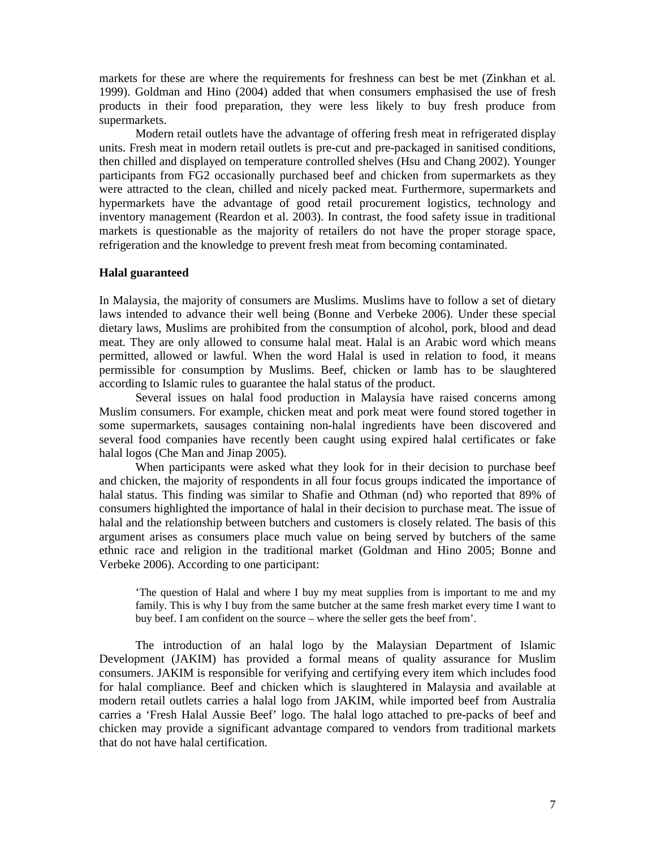markets for these are where the requirements for freshness can best be met (Zinkhan et al. 1999). Goldman and Hino (2004) added that when consumers emphasised the use of fresh products in their food preparation, they were less likely to buy fresh produce from supermarkets.

Modern retail outlets have the advantage of offering fresh meat in refrigerated display units. Fresh meat in modern retail outlets is pre-cut and pre-packaged in sanitised conditions, then chilled and displayed on temperature controlled shelves (Hsu and Chang 2002). Younger participants from FG2 occasionally purchased beef and chicken from supermarkets as they were attracted to the clean, chilled and nicely packed meat. Furthermore, supermarkets and hypermarkets have the advantage of good retail procurement logistics, technology and inventory management (Reardon et al. 2003). In contrast, the food safety issue in traditional markets is questionable as the majority of retailers do not have the proper storage space, refrigeration and the knowledge to prevent fresh meat from becoming contaminated.

#### **Halal guaranteed**

In Malaysia, the majority of consumers are Muslims. Muslims have to follow a set of dietary laws intended to advance their well being (Bonne and Verbeke 2006). Under these special dietary laws, Muslims are prohibited from the consumption of alcohol, pork, blood and dead meat. They are only allowed to consume halal meat. Halal is an Arabic word which means permitted, allowed or lawful. When the word Halal is used in relation to food, it means permissible for consumption by Muslims. Beef, chicken or lamb has to be slaughtered according to Islamic rules to guarantee the halal status of the product.

Several issues on halal food production in Malaysia have raised concerns among Muslim consumers. For example, chicken meat and pork meat were found stored together in some supermarkets, sausages containing non-halal ingredients have been discovered and several food companies have recently been caught using expired halal certificates or fake halal logos (Che Man and Jinap 2005).

When participants were asked what they look for in their decision to purchase beef and chicken, the majority of respondents in all four focus groups indicated the importance of halal status. This finding was similar to Shafie and Othman (nd) who reported that 89% of consumers highlighted the importance of halal in their decision to purchase meat. The issue of halal and the relationship between butchers and customers is closely related. The basis of this argument arises as consumers place much value on being served by butchers of the same ethnic race and religion in the traditional market (Goldman and Hino 2005; Bonne and Verbeke 2006). According to one participant:

'The question of Halal and where I buy my meat supplies from is important to me and my family. This is why I buy from the same butcher at the same fresh market every time I want to buy beef. I am confident on the source – where the seller gets the beef from'.

The introduction of an halal logo by the Malaysian Department of Islamic Development (JAKIM) has provided a formal means of quality assurance for Muslim consumers. JAKIM is responsible for verifying and certifying every item which includes food for halal compliance. Beef and chicken which is slaughtered in Malaysia and available at modern retail outlets carries a halal logo from JAKIM, while imported beef from Australia carries a 'Fresh Halal Aussie Beef' logo. The halal logo attached to pre-packs of beef and chicken may provide a significant advantage compared to vendors from traditional markets that do not have halal certification.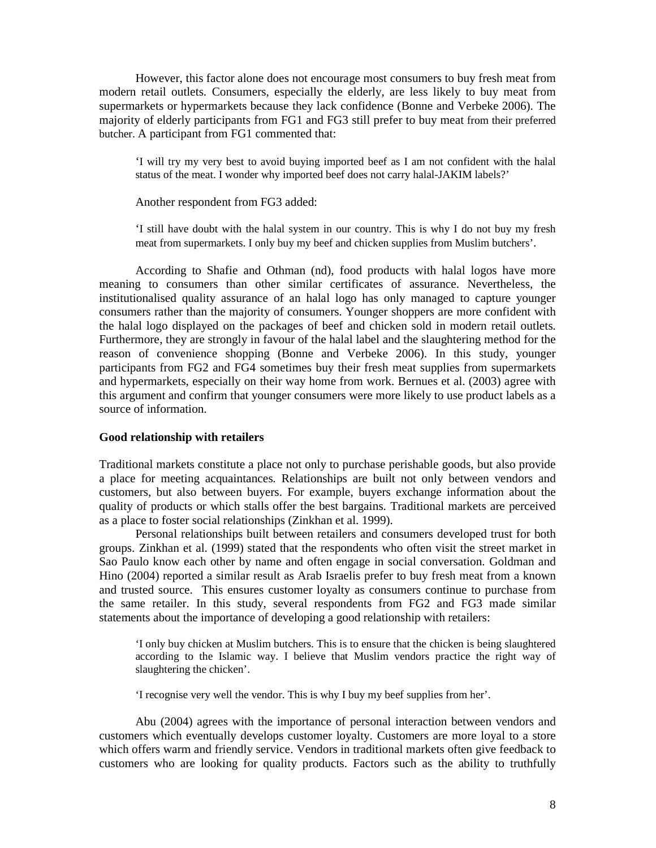However, this factor alone does not encourage most consumers to buy fresh meat from modern retail outlets. Consumers, especially the elderly, are less likely to buy meat from supermarkets or hypermarkets because they lack confidence (Bonne and Verbeke 2006). The majority of elderly participants from FG1 and FG3 still prefer to buy meat from their preferred butcher. A participant from FG1 commented that:

'I will try my very best to avoid buying imported beef as I am not confident with the halal status of the meat. I wonder why imported beef does not carry halal-JAKIM labels?'

Another respondent from FG3 added:

'I still have doubt with the halal system in our country. This is why I do not buy my fresh meat from supermarkets. I only buy my beef and chicken supplies from Muslim butchers'.

 According to Shafie and Othman (nd), food products with halal logos have more meaning to consumers than other similar certificates of assurance. Nevertheless, the institutionalised quality assurance of an halal logo has only managed to capture younger consumers rather than the majority of consumers. Younger shoppers are more confident with the halal logo displayed on the packages of beef and chicken sold in modern retail outlets. Furthermore, they are strongly in favour of the halal label and the slaughtering method for the reason of convenience shopping (Bonne and Verbeke 2006). In this study, younger participants from FG2 and FG4 sometimes buy their fresh meat supplies from supermarkets and hypermarkets, especially on their way home from work. Bernues et al. (2003) agree with this argument and confirm that younger consumers were more likely to use product labels as a source of information.

#### **Good relationship with retailers**

Traditional markets constitute a place not only to purchase perishable goods, but also provide a place for meeting acquaintances. Relationships are built not only between vendors and customers, but also between buyers. For example, buyers exchange information about the quality of products or which stalls offer the best bargains. Traditional markets are perceived as a place to foster social relationships (Zinkhan et al. 1999).

Personal relationships built between retailers and consumers developed trust for both groups. Zinkhan et al. (1999) stated that the respondents who often visit the street market in Sao Paulo know each other by name and often engage in social conversation. Goldman and Hino (2004) reported a similar result as Arab Israelis prefer to buy fresh meat from a known and trusted source. This ensures customer loyalty as consumers continue to purchase from the same retailer. In this study, several respondents from FG2 and FG3 made similar statements about the importance of developing a good relationship with retailers:

'I only buy chicken at Muslim butchers. This is to ensure that the chicken is being slaughtered according to the Islamic way. I believe that Muslim vendors practice the right way of slaughtering the chicken'.

'I recognise very well the vendor. This is why I buy my beef supplies from her'.

 Abu (2004) agrees with the importance of personal interaction between vendors and customers which eventually develops customer loyalty. Customers are more loyal to a store which offers warm and friendly service. Vendors in traditional markets often give feedback to customers who are looking for quality products. Factors such as the ability to truthfully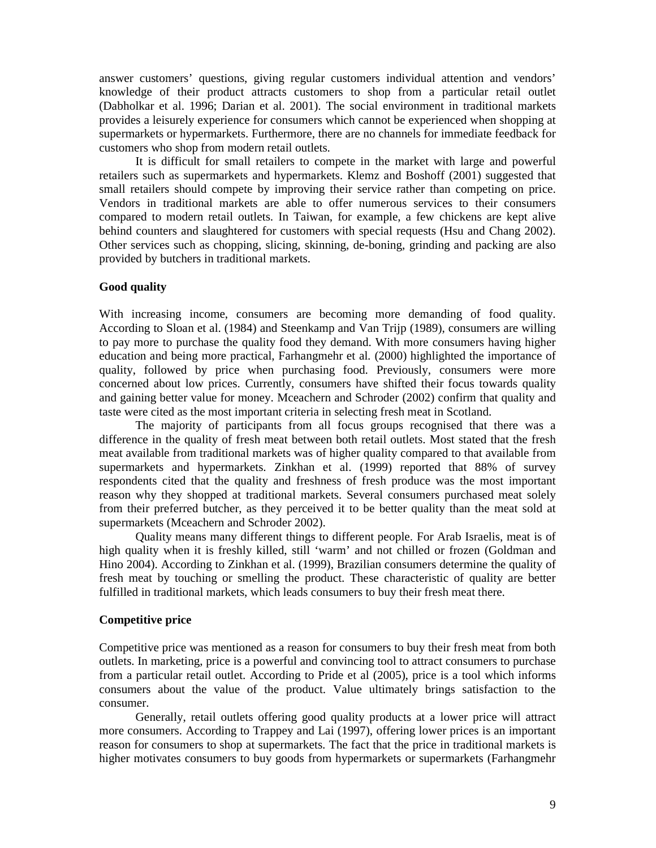answer customers' questions, giving regular customers individual attention and vendors' knowledge of their product attracts customers to shop from a particular retail outlet (Dabholkar et al. 1996; Darian et al. 2001). The social environment in traditional markets provides a leisurely experience for consumers which cannot be experienced when shopping at supermarkets or hypermarkets. Furthermore, there are no channels for immediate feedback for customers who shop from modern retail outlets.

It is difficult for small retailers to compete in the market with large and powerful retailers such as supermarkets and hypermarkets. Klemz and Boshoff (2001) suggested that small retailers should compete by improving their service rather than competing on price. Vendors in traditional markets are able to offer numerous services to their consumers compared to modern retail outlets. In Taiwan, for example, a few chickens are kept alive behind counters and slaughtered for customers with special requests (Hsu and Chang 2002). Other services such as chopping, slicing, skinning, de-boning, grinding and packing are also provided by butchers in traditional markets.

# **Good quality**

With increasing income, consumers are becoming more demanding of food quality. According to Sloan et al. (1984) and Steenkamp and Van Trijp (1989), consumers are willing to pay more to purchase the quality food they demand. With more consumers having higher education and being more practical, Farhangmehr et al. (2000) highlighted the importance of quality, followed by price when purchasing food. Previously, consumers were more concerned about low prices. Currently, consumers have shifted their focus towards quality and gaining better value for money. Mceachern and Schroder (2002) confirm that quality and taste were cited as the most important criteria in selecting fresh meat in Scotland.

The majority of participants from all focus groups recognised that there was a difference in the quality of fresh meat between both retail outlets. Most stated that the fresh meat available from traditional markets was of higher quality compared to that available from supermarkets and hypermarkets. Zinkhan et al. (1999) reported that 88% of survey respondents cited that the quality and freshness of fresh produce was the most important reason why they shopped at traditional markets. Several consumers purchased meat solely from their preferred butcher, as they perceived it to be better quality than the meat sold at supermarkets (Mceachern and Schroder 2002).

Quality means many different things to different people. For Arab Israelis, meat is of high quality when it is freshly killed, still 'warm' and not chilled or frozen (Goldman and Hino 2004). According to Zinkhan et al. (1999), Brazilian consumers determine the quality of fresh meat by touching or smelling the product. These characteristic of quality are better fulfilled in traditional markets, which leads consumers to buy their fresh meat there.

## **Competitive price**

Competitive price was mentioned as a reason for consumers to buy their fresh meat from both outlets. In marketing, price is a powerful and convincing tool to attract consumers to purchase from a particular retail outlet. According to Pride et al (2005), price is a tool which informs consumers about the value of the product. Value ultimately brings satisfaction to the consumer.

Generally, retail outlets offering good quality products at a lower price will attract more consumers. According to Trappey and Lai (1997), offering lower prices is an important reason for consumers to shop at supermarkets. The fact that the price in traditional markets is higher motivates consumers to buy goods from hypermarkets or supermarkets (Farhangmehr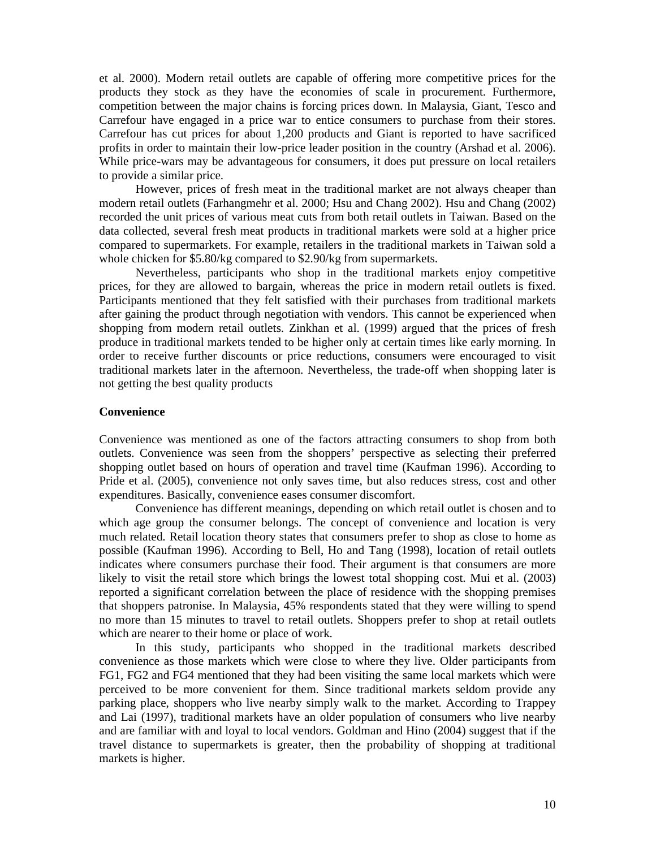et al. 2000). Modern retail outlets are capable of offering more competitive prices for the products they stock as they have the economies of scale in procurement. Furthermore, competition between the major chains is forcing prices down. In Malaysia, Giant, Tesco and Carrefour have engaged in a price war to entice consumers to purchase from their stores. Carrefour has cut prices for about 1,200 products and Giant is reported to have sacrificed profits in order to maintain their low-price leader position in the country (Arshad et al. 2006). While price-wars may be advantageous for consumers, it does put pressure on local retailers to provide a similar price.

However, prices of fresh meat in the traditional market are not always cheaper than modern retail outlets (Farhangmehr et al. 2000; Hsu and Chang 2002). Hsu and Chang (2002) recorded the unit prices of various meat cuts from both retail outlets in Taiwan. Based on the data collected, several fresh meat products in traditional markets were sold at a higher price compared to supermarkets. For example, retailers in the traditional markets in Taiwan sold a whole chicken for \$5.80/kg compared to \$2.90/kg from supermarkets.

Nevertheless, participants who shop in the traditional markets enjoy competitive prices, for they are allowed to bargain, whereas the price in modern retail outlets is fixed. Participants mentioned that they felt satisfied with their purchases from traditional markets after gaining the product through negotiation with vendors. This cannot be experienced when shopping from modern retail outlets. Zinkhan et al. (1999) argued that the prices of fresh produce in traditional markets tended to be higher only at certain times like early morning. In order to receive further discounts or price reductions, consumers were encouraged to visit traditional markets later in the afternoon. Nevertheless, the trade-off when shopping later is not getting the best quality products

## **Convenience**

Convenience was mentioned as one of the factors attracting consumers to shop from both outlets. Convenience was seen from the shoppers' perspective as selecting their preferred shopping outlet based on hours of operation and travel time (Kaufman 1996). According to Pride et al. (2005), convenience not only saves time, but also reduces stress, cost and other expenditures. Basically, convenience eases consumer discomfort.

 Convenience has different meanings, depending on which retail outlet is chosen and to which age group the consumer belongs. The concept of convenience and location is very much related. Retail location theory states that consumers prefer to shop as close to home as possible (Kaufman 1996). According to Bell, Ho and Tang (1998), location of retail outlets indicates where consumers purchase their food. Their argument is that consumers are more likely to visit the retail store which brings the lowest total shopping cost. Mui et al. (2003) reported a significant correlation between the place of residence with the shopping premises that shoppers patronise. In Malaysia, 45% respondents stated that they were willing to spend no more than 15 minutes to travel to retail outlets. Shoppers prefer to shop at retail outlets which are nearer to their home or place of work.

In this study, participants who shopped in the traditional markets described convenience as those markets which were close to where they live. Older participants from FG1, FG2 and FG4 mentioned that they had been visiting the same local markets which were perceived to be more convenient for them. Since traditional markets seldom provide any parking place, shoppers who live nearby simply walk to the market. According to Trappey and Lai (1997), traditional markets have an older population of consumers who live nearby and are familiar with and loyal to local vendors. Goldman and Hino (2004) suggest that if the travel distance to supermarkets is greater, then the probability of shopping at traditional markets is higher.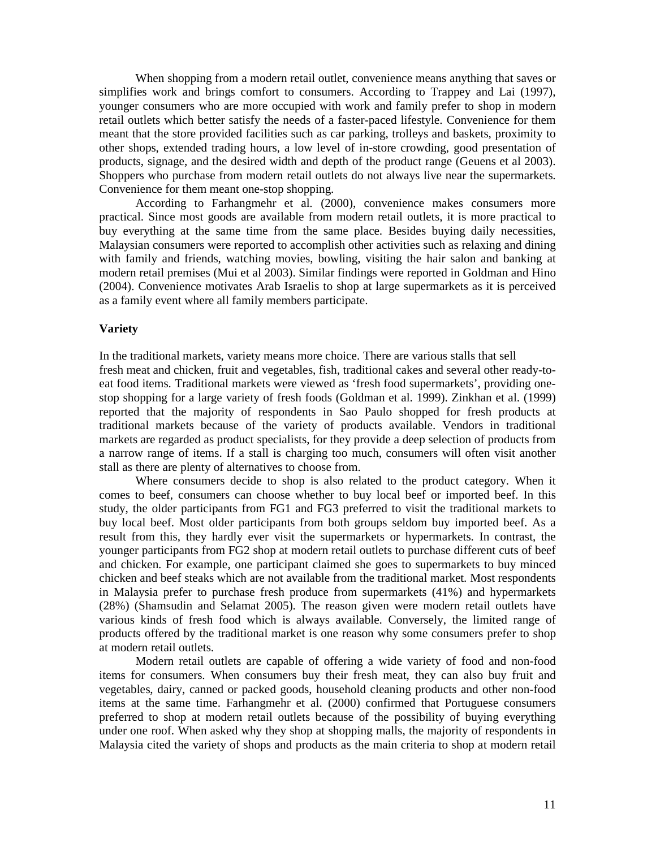When shopping from a modern retail outlet, convenience means anything that saves or simplifies work and brings comfort to consumers. According to Trappey and Lai (1997), younger consumers who are more occupied with work and family prefer to shop in modern retail outlets which better satisfy the needs of a faster-paced lifestyle. Convenience for them meant that the store provided facilities such as car parking, trolleys and baskets, proximity to other shops, extended trading hours, a low level of in-store crowding, good presentation of products, signage, and the desired width and depth of the product range (Geuens et al 2003). Shoppers who purchase from modern retail outlets do not always live near the supermarkets. Convenience for them meant one-stop shopping.

According to Farhangmehr et al. (2000), convenience makes consumers more practical. Since most goods are available from modern retail outlets, it is more practical to buy everything at the same time from the same place. Besides buying daily necessities, Malaysian consumers were reported to accomplish other activities such as relaxing and dining with family and friends, watching movies, bowling, visiting the hair salon and banking at modern retail premises (Mui et al 2003). Similar findings were reported in Goldman and Hino (2004). Convenience motivates Arab Israelis to shop at large supermarkets as it is perceived as a family event where all family members participate.

#### **Variety**

In the traditional markets, variety means more choice. There are various stalls that sell fresh meat and chicken, fruit and vegetables, fish, traditional cakes and several other ready-toeat food items. Traditional markets were viewed as 'fresh food supermarkets', providing onestop shopping for a large variety of fresh foods (Goldman et al. 1999). Zinkhan et al. (1999) reported that the majority of respondents in Sao Paulo shopped for fresh products at traditional markets because of the variety of products available. Vendors in traditional markets are regarded as product specialists, for they provide a deep selection of products from a narrow range of items. If a stall is charging too much, consumers will often visit another stall as there are plenty of alternatives to choose from.

Where consumers decide to shop is also related to the product category. When it comes to beef, consumers can choose whether to buy local beef or imported beef. In this study, the older participants from FG1 and FG3 preferred to visit the traditional markets to buy local beef. Most older participants from both groups seldom buy imported beef. As a result from this, they hardly ever visit the supermarkets or hypermarkets. In contrast, the younger participants from FG2 shop at modern retail outlets to purchase different cuts of beef and chicken. For example, one participant claimed she goes to supermarkets to buy minced chicken and beef steaks which are not available from the traditional market. Most respondents in Malaysia prefer to purchase fresh produce from supermarkets (41%) and hypermarkets (28%) (Shamsudin and Selamat 2005). The reason given were modern retail outlets have various kinds of fresh food which is always available. Conversely, the limited range of products offered by the traditional market is one reason why some consumers prefer to shop at modern retail outlets.

Modern retail outlets are capable of offering a wide variety of food and non-food items for consumers. When consumers buy their fresh meat, they can also buy fruit and vegetables, dairy, canned or packed goods, household cleaning products and other non-food items at the same time. Farhangmehr et al. (2000) confirmed that Portuguese consumers preferred to shop at modern retail outlets because of the possibility of buying everything under one roof. When asked why they shop at shopping malls, the majority of respondents in Malaysia cited the variety of shops and products as the main criteria to shop at modern retail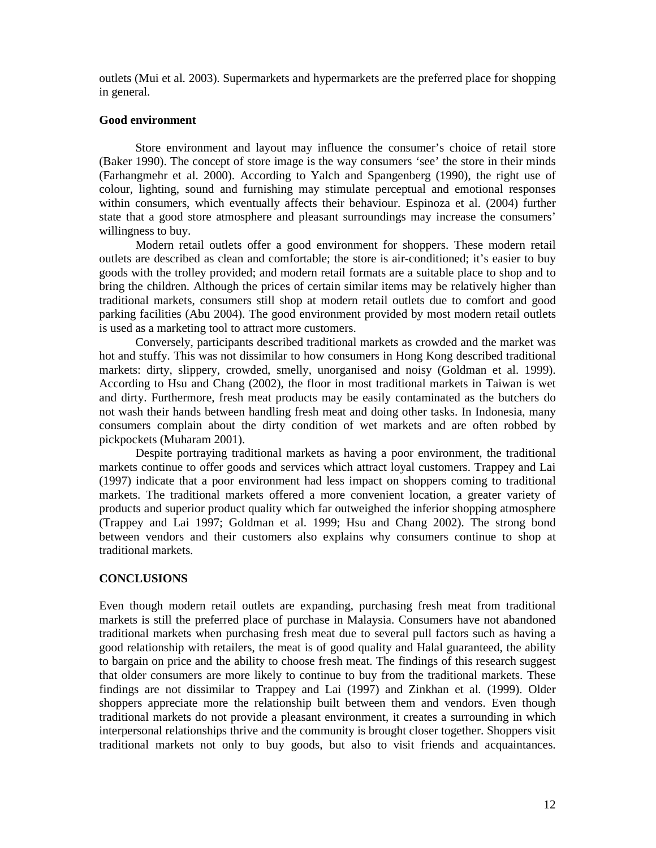outlets (Mui et al. 2003). Supermarkets and hypermarkets are the preferred place for shopping in general.

## **Good environment**

Store environment and layout may influence the consumer's choice of retail store (Baker 1990). The concept of store image is the way consumers 'see' the store in their minds (Farhangmehr et al. 2000). According to Yalch and Spangenberg (1990), the right use of colour, lighting, sound and furnishing may stimulate perceptual and emotional responses within consumers, which eventually affects their behaviour. Espinoza et al. (2004) further state that a good store atmosphere and pleasant surroundings may increase the consumers' willingness to buy.

Modern retail outlets offer a good environment for shoppers. These modern retail outlets are described as clean and comfortable; the store is air-conditioned; it's easier to buy goods with the trolley provided; and modern retail formats are a suitable place to shop and to bring the children. Although the prices of certain similar items may be relatively higher than traditional markets, consumers still shop at modern retail outlets due to comfort and good parking facilities (Abu 2004). The good environment provided by most modern retail outlets is used as a marketing tool to attract more customers.

Conversely, participants described traditional markets as crowded and the market was hot and stuffy. This was not dissimilar to how consumers in Hong Kong described traditional markets: dirty, slippery, crowded, smelly, unorganised and noisy (Goldman et al. 1999). According to Hsu and Chang (2002), the floor in most traditional markets in Taiwan is wet and dirty. Furthermore, fresh meat products may be easily contaminated as the butchers do not wash their hands between handling fresh meat and doing other tasks. In Indonesia, many consumers complain about the dirty condition of wet markets and are often robbed by pickpockets (Muharam 2001).

Despite portraying traditional markets as having a poor environment, the traditional markets continue to offer goods and services which attract loyal customers. Trappey and Lai (1997) indicate that a poor environment had less impact on shoppers coming to traditional markets. The traditional markets offered a more convenient location, a greater variety of products and superior product quality which far outweighed the inferior shopping atmosphere (Trappey and Lai 1997; Goldman et al. 1999; Hsu and Chang 2002). The strong bond between vendors and their customers also explains why consumers continue to shop at traditional markets.

## **CONCLUSIONS**

Even though modern retail outlets are expanding, purchasing fresh meat from traditional markets is still the preferred place of purchase in Malaysia. Consumers have not abandoned traditional markets when purchasing fresh meat due to several pull factors such as having a good relationship with retailers, the meat is of good quality and Halal guaranteed, the ability to bargain on price and the ability to choose fresh meat. The findings of this research suggest that older consumers are more likely to continue to buy from the traditional markets. These findings are not dissimilar to Trappey and Lai (1997) and Zinkhan et al. (1999). Older shoppers appreciate more the relationship built between them and vendors. Even though traditional markets do not provide a pleasant environment, it creates a surrounding in which interpersonal relationships thrive and the community is brought closer together. Shoppers visit traditional markets not only to buy goods, but also to visit friends and acquaintances.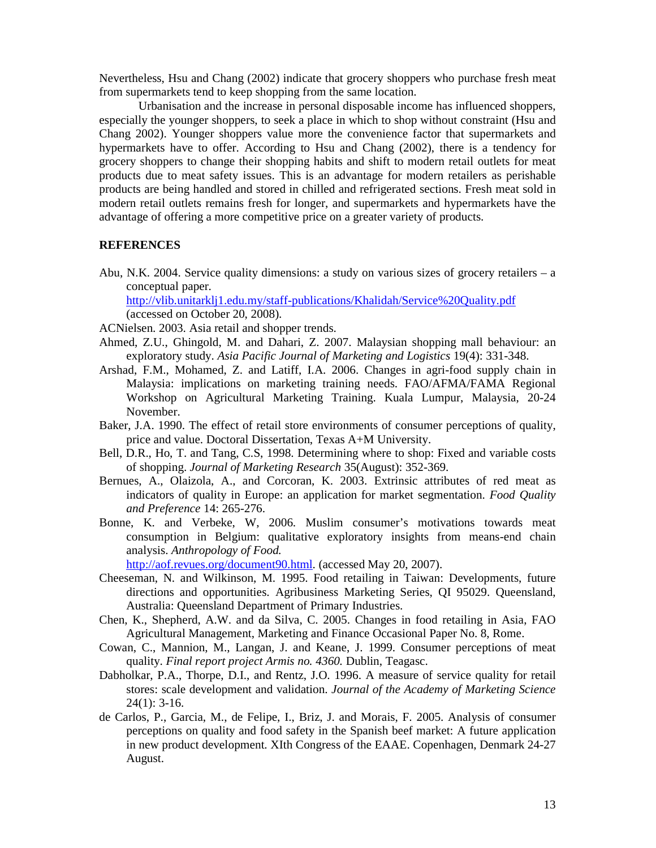Nevertheless, Hsu and Chang (2002) indicate that grocery shoppers who purchase fresh meat from supermarkets tend to keep shopping from the same location.

 Urbanisation and the increase in personal disposable income has influenced shoppers, especially the younger shoppers, to seek a place in which to shop without constraint (Hsu and Chang 2002). Younger shoppers value more the convenience factor that supermarkets and hypermarkets have to offer. According to Hsu and Chang (2002), there is a tendency for grocery shoppers to change their shopping habits and shift to modern retail outlets for meat products due to meat safety issues. This is an advantage for modern retailers as perishable products are being handled and stored in chilled and refrigerated sections. Fresh meat sold in modern retail outlets remains fresh for longer, and supermarkets and hypermarkets have the advantage of offering a more competitive price on a greater variety of products.

## **REFERENCES**

Abu, N.K. 2004. Service quality dimensions: a study on various sizes of grocery retailers – a conceptual paper.

 http://vlib.unitarklj1.edu.my/staff-publications/Khalidah/Service%20Quality.pdf (accessed on October 20, 2008).

ACNielsen. 2003. Asia retail and shopper trends.

- Ahmed, Z.U., Ghingold, M. and Dahari, Z. 2007. Malaysian shopping mall behaviour: an exploratory study. *Asia Pacific Journal of Marketing and Logistics* 19(4): 331-348.
- Arshad, F.M., Mohamed, Z. and Latiff, I.A. 2006. Changes in agri-food supply chain in Malaysia: implications on marketing training needs. FAO/AFMA/FAMA Regional Workshop on Agricultural Marketing Training. Kuala Lumpur, Malaysia, 20-24 November.
- Baker, J.A. 1990. The effect of retail store environments of consumer perceptions of quality, price and value. Doctoral Dissertation, Texas A+M University.
- Bell, D.R., Ho, T. and Tang, C.S, 1998. Determining where to shop: Fixed and variable costs of shopping. *Journal of Marketing Research* 35(August): 352-369.
- Bernues, A., Olaizola, A., and Corcoran, K. 2003. Extrinsic attributes of red meat as indicators of quality in Europe: an application for market segmentation. *Food Quality and Preference* 14: 265-276.
- Bonne, K. and Verbeke, W, 2006. Muslim consumer's motivations towards meat consumption in Belgium: qualitative exploratory insights from means-end chain analysis. *Anthropology of Food.*

http://aof.revues.org/document90.html. (accessed May 20, 2007).

- Cheeseman, N. and Wilkinson, M. 1995. Food retailing in Taiwan: Developments, future directions and opportunities. Agribusiness Marketing Series, QI 95029. Queensland, Australia: Queensland Department of Primary Industries.
- Chen, K., Shepherd, A.W. and da Silva, C. 2005. Changes in food retailing in Asia, FAO Agricultural Management, Marketing and Finance Occasional Paper No. 8, Rome.
- Cowan, C., Mannion, M., Langan, J. and Keane, J. 1999. Consumer perceptions of meat quality. *Final report project Armis no. 4360.* Dublin, Teagasc.
- Dabholkar, P.A., Thorpe, D.I., and Rentz, J.O. 1996. A measure of service quality for retail stores: scale development and validation. *Journal of the Academy of Marketing Science*  $24(1)$ : 3-16.
- de Carlos, P., Garcia, M., de Felipe, I., Briz, J. and Morais, F. 2005. Analysis of consumer perceptions on quality and food safety in the Spanish beef market: A future application in new product development. XIth Congress of the EAAE. Copenhagen, Denmark 24-27 August.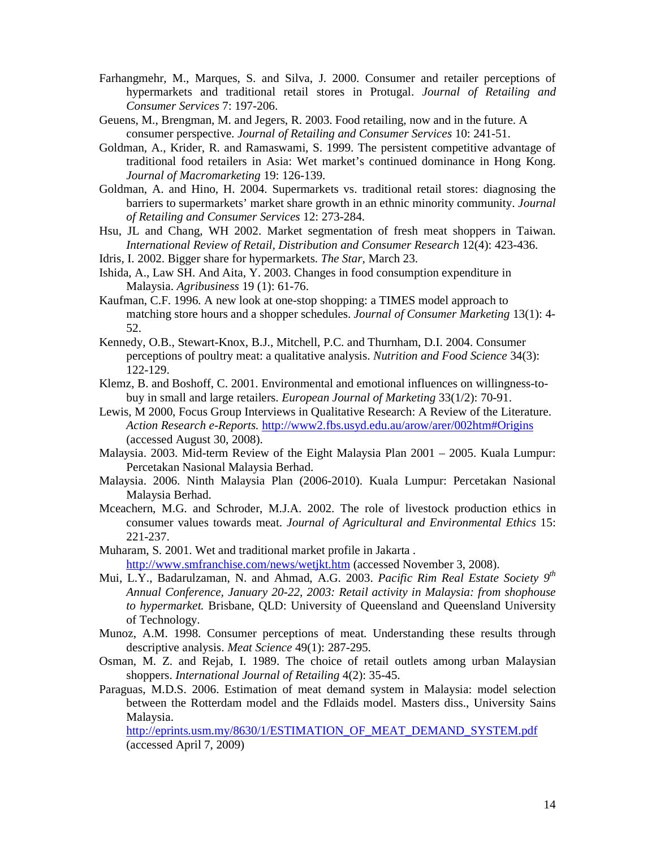- Farhangmehr, M., Marques, S. and Silva, J. 2000. Consumer and retailer perceptions of hypermarkets and traditional retail stores in Protugal. *Journal of Retailing and Consumer Services* 7: 197-206.
- Geuens, M., Brengman, M. and Jegers, R. 2003. Food retailing, now and in the future. A consumer perspective. *Journal of Retailing and Consumer Services* 10: 241-51.
- Goldman, A., Krider, R. and Ramaswami, S. 1999. The persistent competitive advantage of traditional food retailers in Asia: Wet market's continued dominance in Hong Kong. *Journal of Macromarketing* 19: 126-139.
- Goldman, A. and Hino, H. 2004. Supermarkets vs. traditional retail stores: diagnosing the barriers to supermarkets' market share growth in an ethnic minority community. *Journal of Retailing and Consumer Services* 12: 273-284.

Hsu, JL and Chang, WH 2002. Market segmentation of fresh meat shoppers in Taiwan. *International Review of Retail, Distribution and Consumer Research* 12(4): 423-436.

Idris, I. 2002. Bigger share for hypermarkets. *The Star,* March 23.

- Ishida, A., Law SH. And Aita, Y. 2003. Changes in food consumption expenditure in Malaysia. *Agribusiness* 19 (1): 61-76.
- Kaufman, C.F. 1996. A new look at one-stop shopping: a TIMES model approach to matching store hours and a shopper schedules. *Journal of Consumer Marketing* 13(1): 4- 52.
- Kennedy, O.B., Stewart-Knox, B.J., Mitchell, P.C. and Thurnham, D.I. 2004. Consumer perceptions of poultry meat: a qualitative analysis. *Nutrition and Food Science* 34(3): 122-129.
- Klemz, B. and Boshoff, C. 2001. Environmental and emotional influences on willingness-tobuy in small and large retailers. *European Journal of Marketing* 33(1/2): 70-91.
- Lewis, M 2000, Focus Group Interviews in Qualitative Research: A Review of the Literature. *Action Research e-Reports.* http://www2.fbs.usyd.edu.au/arow/arer/002htm#Origins (accessed August 30, 2008).
- Malaysia. 2003. Mid-term Review of the Eight Malaysia Plan 2001 2005. Kuala Lumpur: Percetakan Nasional Malaysia Berhad.
- Malaysia. 2006. Ninth Malaysia Plan (2006-2010). Kuala Lumpur: Percetakan Nasional Malaysia Berhad.
- Mceachern, M.G. and Schroder, M.J.A. 2002. The role of livestock production ethics in consumer values towards meat. *Journal of Agricultural and Environmental Ethics* 15: 221-237.
- Muharam, S. 2001. Wet and traditional market profile in Jakarta . http://www.smfranchise.com/news/wetjkt.htm (accessed November 3, 2008).
- Mui, L.Y., Badarulzaman, N. and Ahmad, A.G. 2003. *Pacific Rim Real Estate Society 9th Annual Conference, January 20-22, 2003: Retail activity in Malaysia: from shophouse to hypermarket.* Brisbane, QLD: University of Queensland and Queensland University of Technology.
- Munoz, A.M. 1998. Consumer perceptions of meat. Understanding these results through descriptive analysis. *Meat Science* 49(1): 287-295.
- Osman, M. Z. and Rejab, I. 1989. The choice of retail outlets among urban Malaysian shoppers. *International Journal of Retailing* 4(2): 35-45.
- Paraguas, M.D.S. 2006. Estimation of meat demand system in Malaysia: model selection between the Rotterdam model and the Fdlaids model. Masters diss., University Sains Malaysia.

http://eprints.usm.my/8630/1/ESTIMATION\_OF\_MEAT\_DEMAND\_SYSTEM.pdf (accessed April 7, 2009)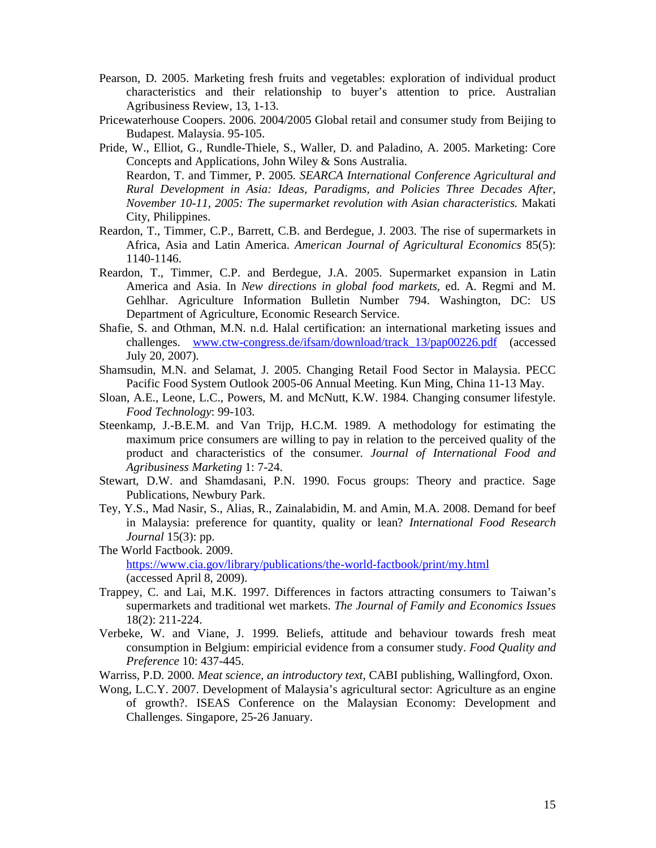- Pearson, D. 2005. Marketing fresh fruits and vegetables: exploration of individual product characteristics and their relationship to buyer's attention to price. Australian Agribusiness Review, 13, 1-13.
- Pricewaterhouse Coopers. 2006. 2004/2005 Global retail and consumer study from Beijing to Budapest. Malaysia. 95-105.
- Pride, W., Elliot, G., Rundle-Thiele, S., Waller, D. and Paladino, A. 2005. Marketing: Core Concepts and Applications, John Wiley & Sons Australia. Reardon, T. and Timmer, P. 2005. *SEARCA International Conference Agricultural and Rural Development in Asia: Ideas, Paradigms, and Policies Three Decades After, November 10-11, 2005: The supermarket revolution with Asian characteristics.* Makati City, Philippines.
- Reardon, T., Timmer, C.P., Barrett, C.B. and Berdegue, J. 2003. The rise of supermarkets in Africa, Asia and Latin America. *American Journal of Agricultural Economics* 85(5): 1140-1146.
- Reardon, T., Timmer, C.P. and Berdegue, J.A. 2005. Supermarket expansion in Latin America and Asia. In *New directions in global food markets,* ed. A. Regmi and M. Gehlhar. Agriculture Information Bulletin Number 794. Washington, DC: US Department of Agriculture, Economic Research Service.
- Shafie, S. and Othman, M.N. n.d. Halal certification: an international marketing issues and challenges. www.ctw-congress.de/ifsam/download/track\_13/pap00226.pdf (accessed July 20, 2007).
- Shamsudin, M.N. and Selamat, J. 2005. Changing Retail Food Sector in Malaysia. PECC Pacific Food System Outlook 2005-06 Annual Meeting. Kun Ming, China 11-13 May.
- Sloan, A.E., Leone, L.C., Powers, M. and McNutt, K.W. 1984. Changing consumer lifestyle. *Food Technology*: 99-103.
- Steenkamp, J.-B.E.M. and Van Trijp, H.C.M. 1989. A methodology for estimating the maximum price consumers are willing to pay in relation to the perceived quality of the product and characteristics of the consumer. *Journal of International Food and Agribusiness Marketing* 1: 7-24.
- Stewart, D.W. and Shamdasani, P.N. 1990. Focus groups: Theory and practice. Sage Publications, Newbury Park.
- Tey, Y.S., Mad Nasir, S., Alias, R., Zainalabidin, M. and Amin, M.A. 2008. Demand for beef in Malaysia: preference for quantity, quality or lean? *International Food Research Journal* 15(3): pp.
- The World Factbook. 2009. https://www.cia.gov/library/publications/the-world-factbook/print/my.html (accessed April 8, 2009).
- Trappey, C. and Lai, M.K. 1997. Differences in factors attracting consumers to Taiwan's supermarkets and traditional wet markets. *The Journal of Family and Economics Issues*  18(2): 211-224.
- Verbeke, W. and Viane, J. 1999. Beliefs, attitude and behaviour towards fresh meat consumption in Belgium: empiricial evidence from a consumer study. *Food Quality and Preference* 10: 437-445.
- Warriss, P.D. 2000. *Meat science, an introductory text,* CABI publishing, Wallingford, Oxon.
- Wong, L.C.Y. 2007. Development of Malaysia's agricultural sector: Agriculture as an engine of growth?. ISEAS Conference on the Malaysian Economy: Development and Challenges. Singapore, 25-26 January.